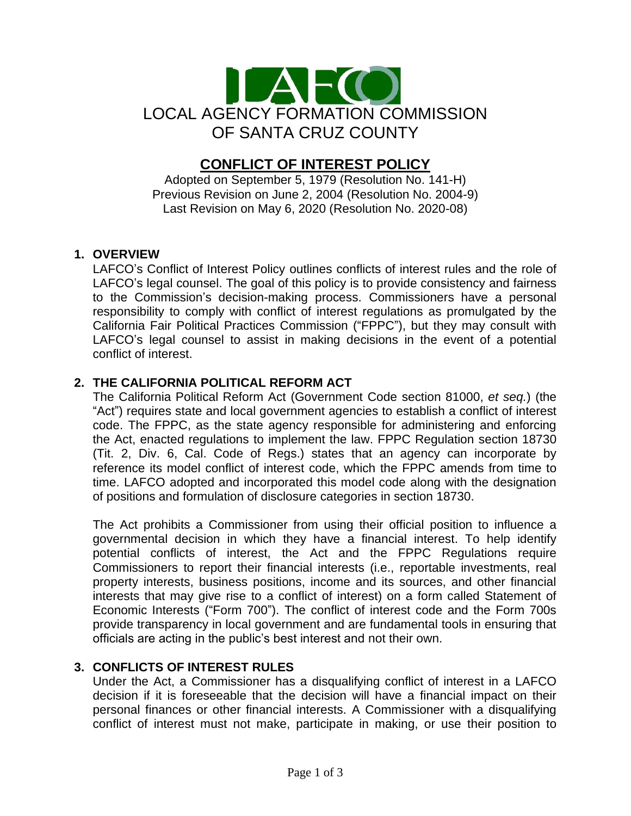

# **CONFLICT OF INTEREST POLICY**

Adopted on September 5, 1979 (Resolution No. 141-H) Previous Revision on June 2, 2004 (Resolution No. 2004-9) Last Revision on May 6, 2020 (Resolution No. 2020-08)

## **1. OVERVIEW**

LAFCO's Conflict of Interest Policy outlines conflicts of interest rules and the role of LAFCO's legal counsel. The goal of this policy is to provide consistency and fairness to the Commission's decision-making process. Commissioners have a personal responsibility to comply with conflict of interest regulations as promulgated by the California Fair Political Practices Commission ("FPPC"), but they may consult with LAFCO's legal counsel to assist in making decisions in the event of a potential conflict of interest.

# **2. THE CALIFORNIA POLITICAL REFORM ACT**

The California Political Reform Act (Government Code section 81000, *et seq.*) (the "Act") requires state and local government agencies to establish a conflict of interest code. The FPPC, as the state agency responsible for administering and enforcing the Act, enacted regulations to implement the law. FPPC Regulation section 18730 (Tit. 2, Div. 6, Cal. Code of Regs.) states that an agency can incorporate by reference its model conflict of interest code, which the FPPC amends from time to time. LAFCO adopted and incorporated this model code along with the designation of positions and formulation of disclosure categories in section 18730.

The Act prohibits a Commissioner from using their official position to influence a governmental decision in which they have a financial interest. To help identify potential conflicts of interest, the Act and the FPPC Regulations require Commissioners to report their financial interests (i.e., reportable investments, real property interests, business positions, income and its sources, and other financial interests that may give rise to a conflict of interest) on a form called Statement of Economic Interests ("Form 700"). The conflict of interest code and the Form 700s provide transparency in local government and are fundamental tools in ensuring that officials are acting in the public's best interest and not their own.

#### **3. CONFLICTS OF INTEREST RULES**

Under the Act, a Commissioner has a disqualifying conflict of interest in a LAFCO decision if it is foreseeable that the decision will have a financial impact on their personal finances or other financial interests. A Commissioner with a disqualifying conflict of interest must not make, participate in making, or use their position to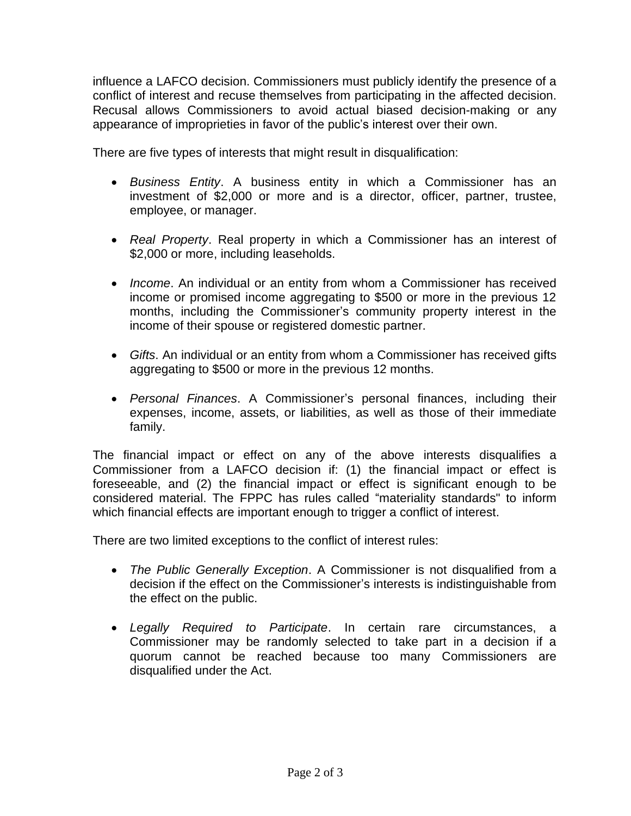influence a LAFCO decision. Commissioners must publicly identify the presence of a conflict of interest and recuse themselves from participating in the affected decision. Recusal allows Commissioners to avoid actual biased decision-making or any appearance of improprieties in favor of the public's interest over their own.

There are five types of interests that might result in disqualification:

- *Business Entity*. A business entity in which a Commissioner has an investment of \$2,000 or more and is a director, officer, partner, trustee, employee, or manager.
- *Real Property*. Real property in which a Commissioner has an interest of \$2,000 or more, including leaseholds.
- *Income*. An individual or an entity from whom a Commissioner has received income or promised income aggregating to \$500 or more in the previous 12 months, including the Commissioner's community property interest in the income of their spouse or registered domestic partner.
- *Gifts*. An individual or an entity from whom a Commissioner has received gifts aggregating to \$500 or more in the previous 12 months.
- *Personal Finances*. A Commissioner's personal finances, including their expenses, income, assets, or liabilities, as well as those of their immediate family.

The financial impact or effect on any of the above interests disqualifies a Commissioner from a LAFCO decision if: (1) the financial impact or effect is foreseeable, and (2) the financial impact or effect is significant enough to be considered material. The FPPC has rules called "materiality standards" to inform which financial effects are important enough to trigger a conflict of interest.

There are two limited exceptions to the conflict of interest rules:

- *The Public Generally Exception*. A Commissioner is not disqualified from a decision if the effect on the Commissioner's interests is indistinguishable from the effect on the public.
- *Legally Required to Participate*. In certain rare circumstances, a Commissioner may be randomly selected to take part in a decision if a quorum cannot be reached because too many Commissioners are disqualified under the Act.